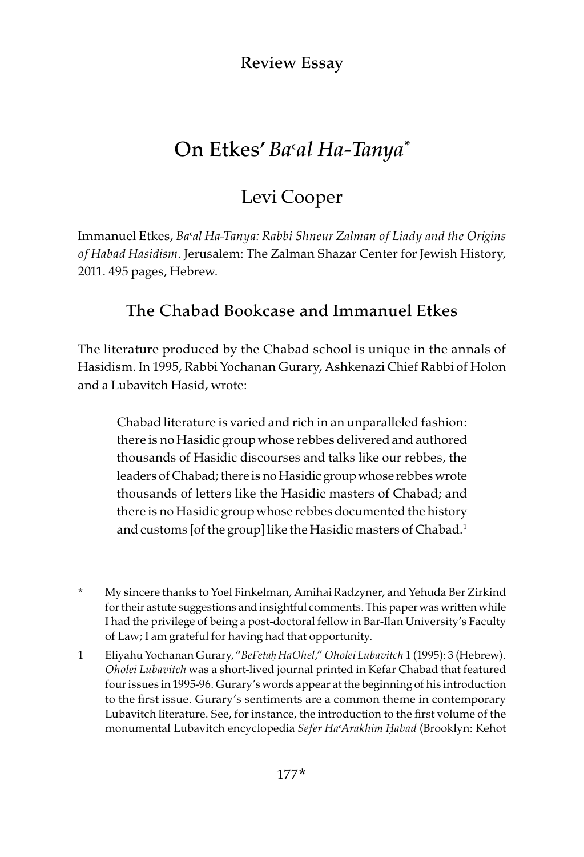Review Essay

# On Etkes' *Ba*>*al Ha-Tanya\**

# Levi Cooper

Immanuel Etkes, Ba'al Ha-Tanya: Rabbi Shneur Zalman of Liady and the Origins of Habad Hasidism. Jerusalem: The Zalman Shazar Center for Jewish History, 2011. 495 pages, Hebrew.

## The Chabad Bookcase and Immanuel Etkes

The literature produced by the Chabad school is unique in the annals of Hasidism. In 1995, Rabbi Yochanan Gurary, Ashkenazi Chief Rabbi of Holon and a Lubavitch Hasid, wrote:

Chabad literature is varied and rich in an unparalleled fashion: there is no Hasidic group whose rebbes delivered and authored thousands of Hasidic discourses and talks like our rebbes, the leaders of Chabad; there is no Hasidic group whose rebbes wrote thousands of letters like the Hasidic masters of Chabad; and there is no Hasidic group whose rebbes documented the history and customs [of the group] like the Hasidic masters of Chabad.<sup>1</sup>

- \* My sincere thanks to Yoel Finkelman, Amihai Radzyner, and Yehuda Ber Zirkind for their astute suggestions and insightful comments. This paper was written while I had the privilege of being a post-doctoral fellow in Bar-Ilan University's Faculty of Law; I am grateful for having had that opportunity.
- 1 EliyahuYochanan Gurary, "BeFeta*ḥ* HaOhel," Oholei Lubavitch 1 (1995): 3 (Hebrew). Oholei Lubavitch was a short-lived journal printed in Kefar Chabad that featured four issues in 1995-96. Gurary's words appear at the beginning of his introduction to the first issue. Gurary's sentiments are a common theme in contemporary Lubavitch literature. See, for instance, the introduction to the first volume of the monumental Lubavitch encyclopedia Sefer Ha>Arakhim *Ḥ*abad (Brooklyn: Kehot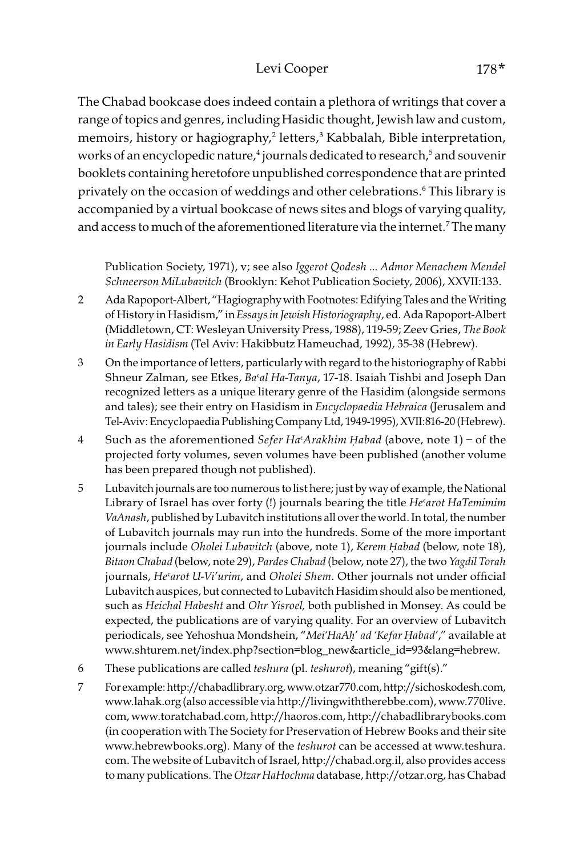### Levi Cooper 178\*

The Chabad bookcase does indeed contain a plethora of writings that cover a range of topics and genres, including Hasidic thought, Jewish law and custom, memoirs, history or hagiography,2 letters,3 Kabbalah, Bible interpretation, works of an encyclopedic nature,<sup>4</sup> journals dedicated to research,<sup>5</sup> and souvenir booklets containing heretofore unpublished correspondence that are printed privately on the occasion of weddings and other celebrations.6 This library is accompanied by a virtual bookcase of news sites and blogs of varying quality, and access to much of the aforementioned literature via the internet.<sup>7</sup> The many

Publication Society, 1971), v; see also Iggerot Qodesh … Admor Menachem Mendel Schneerson MiLubavitch (Brooklyn: Kehot Publication Society, 2006), XXVII:133.

- 2 Ada Rapoport-Albert, "Hagiography with Footnotes: Edifying Tales and the Writing of History in Hasidism," in Essays in Jewish Historiography, ed. Ada Rapoport-Albert (Middletown, CT: Wesleyan University Press, 1988), 119-59; Zeev Gries, The Book in Early Hasidism (Tel Aviv: Hakibbutz Hameuchad, 1992), 35-38 (Hebrew).
- 3 On the importance of letters, particularly with regard to the historiography of Rabbi Shneur Zalman, see Etkes, Ba'al Ha-Tanya, 17-18. Isaiah Tishbi and Joseph Dan recognized letters as a unique literary genre of the Hasidim (alongside sermons and tales); see their entry on Hasidism in Encyclopaedia Hebraica (Jerusalem and Tel-Aviv: Encyclopaedia Publishing Company Ltd, 1949-1995), XVII:816-20 (Hebrew).
- 4 Such as the aforementioned Sefer Ha>Arakhim *Ḥ*abad (above, note 1) of the projected forty volumes, seven volumes have been published (another volume has been prepared though not published).
- 5 Lubavitch journals are too numerous to list here; just by way of example, the National Library of Israel has over forty (!) journals bearing the title He'arot HaTemimim VaAnash, published by Lubavitch institutions all over the world. In total, the number of Lubavitch journals may run into the hundreds. Some of the more important journals include Oholei Lubavitch (above, note 1), Kerem *Ḥ*abad (below, note 18), Bitaon Chabad (below, note 29), Pardes Chabad (below, note 27), the two Yagdil Torah journals, He'arot U-Vi'urim, and Oholei Shem. Other journals not under official Lubavitch auspices, but connected to Lubavitch Hasidim should also be mentioned, such as Heichal Habesht and Ohr Yisroel, both published in Monsey. As could be expected, the publications are of varying quality. For an overview of Lubavitch periodicals, see Yehoshua Mondshein, "Mei'HaA*ḥ*' ad 'Kefar *Ḥ*abad'," available at www.shturem.net/index.php?section=blog\_new&article\_id=93&lang=hebrew.
- 6 These publications are called teshura (pl. teshurot), meaning "gift(s)."
- 7 For example: http://chabadlibrary.org, www.otzar770.com, http://sichoskodesh.com, www.lahak.org (also accessible via http://livingwiththerebbe.com), www.770live. com, www.toratchabad.com, http://haoros.com, http://chabadlibrarybooks.com (in cooperation with The Society for Preservation of Hebrew Books and their site www.hebrewbooks.org). Many of the teshurot can be accessed at www.teshura. com. The website of Lubavitch of Israel, http://chabad.org.il, also provides access to many publications. The Otzar HaHochma database, http://otzar.org, has Chabad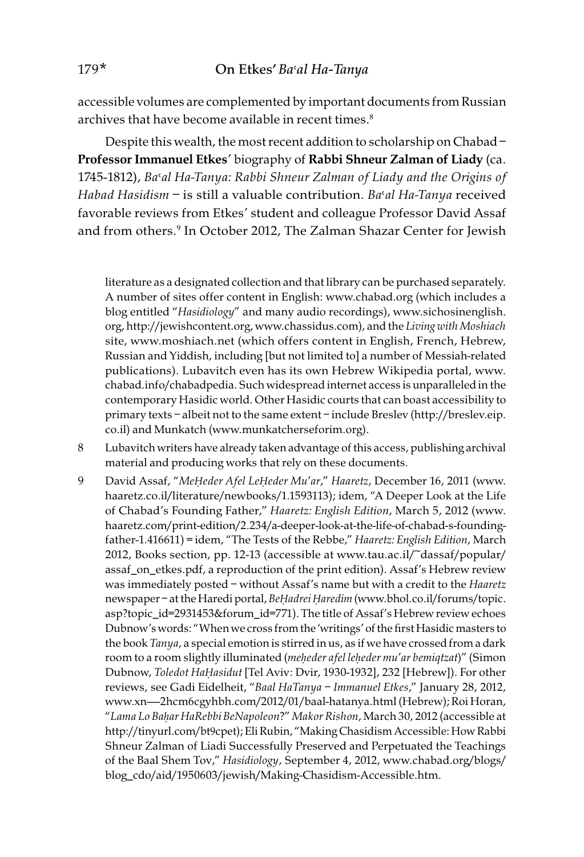accessible volumes are complemented by important documents from Russian archives that have become available in recent times.<sup>8</sup>

Despite this wealth, the most recent addition to scholarship on Chabad – Professor Immanuel Etkes' biography of Rabbi Shneur Zalman of Liady (ca. 1745-1812), Ba'al Ha-Tanya: Rabbi Shneur Zalman of Liady and the Origins of Habad Hasidism  $-$  is still a valuable contribution. Ba'al Ha-Tanya received favorable reviews from Etkes' student and colleague Professor David Assaf and from others.9 In October 2012, The Zalman Shazar Center for Jewish

literature as a designated collection and that library can be purchased separately. A number of sites offer content in English: www.chabad.org (which includes a blog entitled "Hasidiology" and many audio recordings), www.sichosinenglish. org, http://jewishcontent.org, www.chassidus.com), and the Living with Moshiach site, www.moshiach.net (which offers content in English, French, Hebrew, Russian and Yiddish, including [but not limited to] a number of Messiah-related publications). Lubavitch even has its own Hebrew Wikipedia portal, www. chabad.info/chabadpedia. Such widespread internet access is unparalleled in the contemporary Hasidic world. Other Hasidic courts that can boast accessibility to primary texts – albeit not to the same extent – include Breslev (http://breslev.eip. co.il) and Munkatch (www.munkatcherseforim.org).

- 8 Lubavitch writers have already taken advantage of this access, publishing archival material and producing works that rely on these documents.
- 9 David Assaf, "Me*Ḥ*eder Afel Le*Ḥ*eder Mu'ar," Haaretz, December 16, 2011 (www. haaretz.co.il/literature/newbooks/1.1593113); idem, "A Deeper Look at the Life of Chabad's Founding Father," Haaretz: English Edition, March 5, 2012 (www. haaretz.com/print-edition/2.234/a-deeper-look-at-the-life-of-chabad-s-foundingfather-1.416611) = idem, "The Tests of the Rebbe," Haaretz: English Edition, March 2012, Books section, pp. 12-13 (accessible at www.tau.ac.il/~dassaf/popular/ assaf\_on\_etkes.pdf, a reproduction of the print edition). Assaf's Hebrew review was immediately posted – without Assaf's name but with a credit to the Haaretz newspaper – at the Haredi portal, Be*Ḥ*adrei *Ḥ*aredim (www.bhol.co.il/forums/topic. asp?topic\_id=2931453&forum\_id=771). The title of Assaf's Hebrew review echoes Dubnow's words: "When we cross from the 'writings' of the first Hasidic masters to the book Tanya, a special emotion is stirred in us, as if we have crossed from a dark room to a room slightly illuminated (me*ḥ*eder afel le*ḥ*eder mu'ar bemiqtzat)" (Simon Dubnow, Toledot Ha*Ḥ*asidut [Tel Aviv: Dvir, 1930-1932], 232 [Hebrew]). For other reviews, see Gadi Eidelheit, "Baal HaTanya – Immanuel Etkes," January 28, 2012, www.xn----2hcm6cgyhbh.com/2012/01/baal-hatanya.html (Hebrew); Roi Horan, "Lama Lo Ba*ḥ*ar HaRebbi BeNapoleon?" Makor Rishon, March 30, 2012 (accessible at http://tinyurl.com/bt9cpet); EliRubin, "Making Chasidism Accessible: How Rabbi Shneur Zalman of Liadi Successfully Preserved and Perpetuated the Teachings of the Baal Shem Tov," Hasidiology, September 4, 2012, www.chabad.org/blogs/ blog\_cdo/aid/1950603/jewish/Making-Chasidism-Accessible.htm.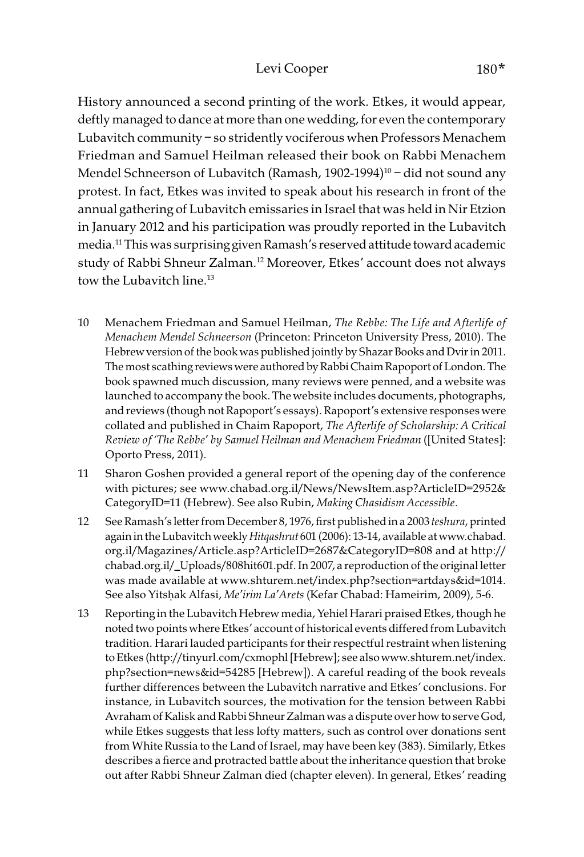History announced a second printing of the work. Etkes, it would appear, deftly managed to dance at more than one wedding, for even the contemporary Lubavitch community – so stridently vociferous when Professors Menachem Friedman and Samuel Heilman released their book on Rabbi Menachem Mendel Schneerson of Lubavitch (Ramash, 1902-1994)<sup>10</sup> – did not sound any protest. In fact, Etkes was invited to speak about his research in front of the annual gathering of Lubavitch emissaries in Israel that was held in Nir Etzion in January 2012 and his participation was proudly reported in the Lubavitch media.11 This was surprising given Ramash's reserved attitude toward academic study of Rabbi Shneur Zalman.<sup>12</sup> Moreover, Etkes' account does not always tow the Lubavitch line. $13$ 

- 10 Menachem Friedman and Samuel Heilman, The Rebbe: The Life and Afterlife of Menachem Mendel Schneerson (Princeton: Princeton University Press, 2010). The Hebrew version of the book was published jointly by Shazar Books and Dvir in 2011. The most scathing reviews were authored by Rabbi Chaim Rapoport of London. The book spawned much discussion, many reviews were penned, and a website was launched to accompany the book. The website includes documents, photographs, and reviews (though not Rapoport's essays). Rapoport's extensive responses were collated and published in Chaim Rapoport, The Afterlife of Scholarship: A Critical Review of 'The Rebbe' by Samuel Heilman and Menachem Friedman ([United States]: Oporto Press, 2011).
- 11 Sharon Goshen provided a general report of the opening day of the conference with pictures; see www.chabad.org.il/News/NewsItem.asp?ArticleID=2952& CategoryID=11 (Hebrew). See also Rubin, Making Chasidism Accessible.
- 12 See Ramash's letter from December 8, 1976, first published in a 2003 teshura, printed again in the Lubavitch weekly Hitqashrut 601 (2006): 13-14, available at www.chabad. org.il/Magazines/Article.asp?ArticleID=2687&CategoryID=808 and at http:// chabad.org.il/\_Uploads/808hit601.pdf. In 2007, a reproduction of the original letter was made available at www.shturem.net/index.php?section=artdays&id=1014. See also Yitsḥak Alfasi, Me'irim La'Arets (Kefar Chabad: Hameirim, 2009), 5-6.
- 13 Reporting in the Lubavitch Hebrew media, Yehiel Harari praised Etkes, though he noted two points where Etkes' account of historical events differed from Lubavitch tradition. Harari lauded participants for their respectful restraint when listening to Etkes (http://tinyurl.com/cxmophl [Hebrew]; see also www.shturem.net/index. php?section=news&id=54285 [Hebrew]). A careful reading of the book reveals further differences between the Lubavitch narrative and Etkes' conclusions. For instance, in Lubavitch sources, the motivation for the tension between Rabbi Avraham of Kalisk and Rabbi Shneur Zalman was a dispute over how to serve God, while Etkes suggests that less lofty matters, such as control over donations sent from White Russia to the Land of Israel, may have been key (383). Similarly, Etkes describes a fierce and protracted battle about the inheritance question that broke out after Rabbi Shneur Zalman died (chapter eleven). In general, Etkes' reading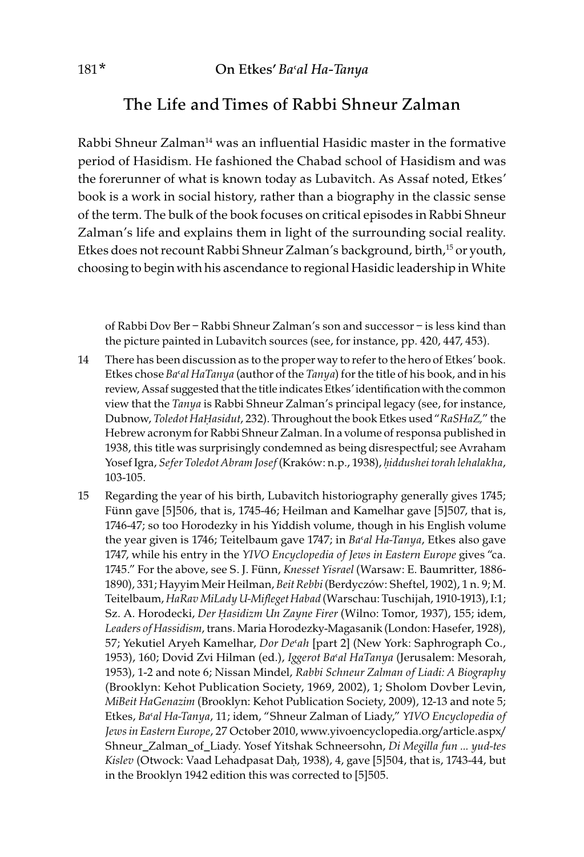## The Life and Times of Rabbi Shneur Zalman

Rabbi Shneur Zalman<sup>14</sup> was an influential Hasidic master in the formative period of Hasidism. He fashioned the Chabad school of Hasidism and was the forerunner of what is known today as Lubavitch. As Assaf noted, Etkes' book is a work in social history, rather than a biography in the classic sense of the term. The bulk of the book focuses on critical episodes in Rabbi Shneur Zalman's life and explains them in light of the surrounding social reality. Etkes does not recount Rabbi Shneur Zalman's background, birth,<sup>15</sup> or youth, choosing to begin with his ascendance to regional Hasidic leadership in White

of Rabbi Dov Ber – Rabbi Shneur Zalman's son and successor – is less kind than the picture painted in Lubavitch sources (see, for instance, pp. 420, 447, 453).

- 14 There has been discussion as to the proper way to refer to the hero of Etkes' book. Etkes chose  $Ba<sup>s</sup>al HaTanya$  (author of the Tanya) for the title of his book, and in his review, Assaf suggested that the title indicates Etkes' identification with the common view that the Tanya is Rabbi Shneur Zalman's principal legacy (see, for instance, Dubnow, Toledot Ha*Ḥ*asidut, 232). Throughout the book Etkes used "RaSHaZ," the Hebrew acronym for Rabbi Shneur Zalman. In a volume of responsa published in 1938, this title was surprisingly condemned as being disrespectful; see Avraham Yosef Igra, Sefer Toledot Abram Josef (Kraków: n.p., 1938), *ḥ*iddushei torah lehalakha, 103-105.
- 15 Regarding the year of his birth, Lubavitch historiography generally gives 1745; Fünn gave [5]506, that is, 1745-46; Heilman and Kamelhar gave [5]507, that is, 1746-47; so too Horodezky in his Yiddish volume, though in his English volume the year given is 1746; Teitelbaum gave 1747; in Ba'al Ha-Tanya, Etkes also gave 1747, while his entry in the YIVO Encyclopedia of Jews in Eastern Europe gives "ca. 1745." For the above, see S. J. Fünn, Knesset Yisrael (Warsaw: E. Baumritter, 1886- 1890), 331; Hayyim Meir Heilman, Beit Rebbi (Berdyczów: Sheftel, 1902), 1 n. 9; M. Teitelbaum, HaRav MiLady U-Mifleget Habad (Warschau: Tuschijah, 1910-1913), I:1; Sz. A. Horodecki, Der *Ḥ*asidizm Un Zayne Firer (Wilno: Tomor, 1937), 155; idem, Leaders of Hassidism, trans. Maria Horodezky-Magasanik (London: Hasefer, 1928), 57; Yekutiel Aryeh Kamelhar, Dor De'ah [part 2] (New York: Saphrograph Co., 1953), 160; Dovid Zvi Hilman (ed.), Iggerot Ba'al HaTanya (Jerusalem: Mesorah, 1953), 1-2 and note 6; Nissan Mindel, Rabbi Schneur Zalman of Liadi: A Biography (Brooklyn: Kehot Publication Society, 1969, 2002), 1; Sholom Dovber Levin, MiBeit HaGenazim (Brooklyn: Kehot Publication Society, 2009), 12-13 and note 5; Etkes, Ba'al Ha-Tanya, 11; idem, "Shneur Zalman of Liady," YIVO Encyclopedia of Jews in Eastern Europe, 27 October 2010, www.yivoencyclopedia.org/article.aspx/ Shneur\_Zalman\_of\_Liady. Yosef Yitshak Schneersohn, Di Megilla fun … yud-tes Kislev (Otwock: Vaad Lehadpasat Daḥ, 1938), 4, gave [5]504, that is, 1743-44, but in the Brooklyn 1942 edition this was corrected to [5]505.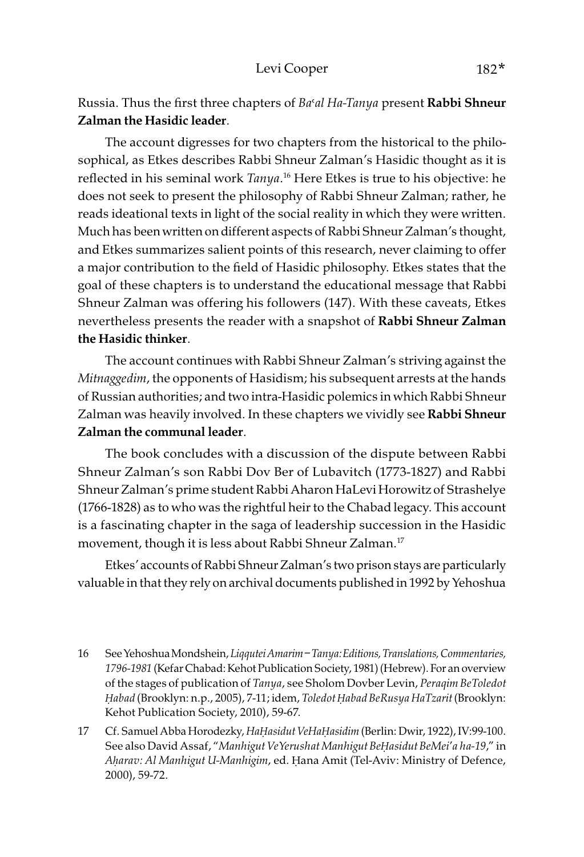Russia. Thus the first three chapters of Ba'al Ha-Tanya present Rabbi Shneur Zalman the Hasidic leader.

The account digresses for two chapters from the historical to the philosophical, as Etkes describes Rabbi Shneur Zalman's Hasidic thought as it is reflected in his seminal work Tanya. 16 Here Etkes is true to his objective: he does not seek to present the philosophy of Rabbi Shneur Zalman; rather, he reads ideational texts in light of the social reality in which they were written. Much has been written on different aspects of Rabbi Shneur Zalman's thought, and Etkes summarizes salient points of this research, never claiming to offer a major contribution to the field of Hasidic philosophy. Etkes states that the goal of these chapters is to understand the educational message that Rabbi Shneur Zalman was offering his followers (147). With these caveats, Etkes nevertheless presents the reader with a snapshot of Rabbi Shneur Zalman the Hasidic thinker.

The account continues with Rabbi Shneur Zalman's striving against the Mitnaggedim, the opponents of Hasidism; his subsequent arrests at the hands of Russian authorities; and two intra-Hasidic polemics in which Rabbi Shneur Zalman was heavily involved. In these chapters we vividly see Rabbi Shneur Zalman the communal leader.

The book concludes with a discussion of the dispute between Rabbi Shneur Zalman's son Rabbi Dov Ber of Lubavitch (1773-1827) and Rabbi Shneur Zalman's prime student Rabbi Aharon HaLevi Horowitz of Strashelye (1766-1828) as to who was the rightful heir to the Chabad legacy. This account is a fascinating chapter in the saga of leadership succession in the Hasidic movement, though it is less about Rabbi Shneur Zalman.17

Etkes' accounts of Rabbi Shneur Zalman's two prison stays are particularly valuable in that they rely on archival documents published in 1992 by Yehoshua

- 16 See Yehoshua Mondshein, Liqqutei Amarim Tanya: Editions, Translations, Commentaries, 1796-1981 (Kefar Chabad: Kehot Publication Society, 1981) (Hebrew). For an overview of the stages of publication of Tanya, see Sholom Dovber Levin, Peraqim BeToledot *Ḥ*abad (Brooklyn: n.p., 2005), 7-11; idem, Toledot *Ḥ*abad BeRusya HaTzarit (Brooklyn: Kehot Publication Society, 2010), 59-67.
- 17 Cf. Samuel Abba Horodezky, Ha*Ḥ*asidut VeHa*Ḥ*asidim (Berlin: Dwir, 1922), IV:99-100. See also David Assaf, "Manhigut VeYerushat Manhigut Be*Ḥ*asidut BeMei'a ha-19," in A*ḥ*arav: Al Manhigut U-Manhigim, ed. Ḥana Amit (Tel-Aviv: Ministry of Defence, 2000), 59-72.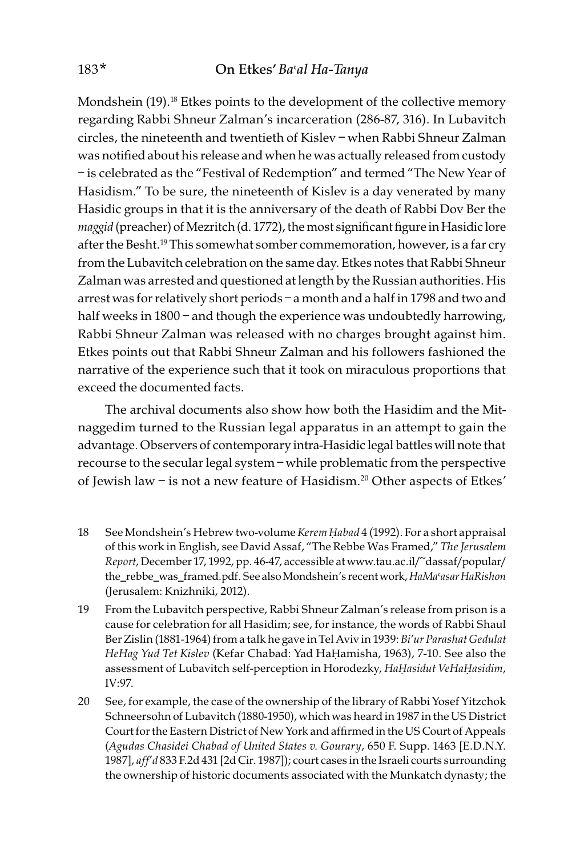Mondshein  $(19)$ <sup>18</sup> Etkes points to the development of the collective memory regarding Rabbi Shneur Zalman's incarceration (286-87, 316). In Lubavitch circles, the nineteenth and twentieth of Kislev – when Rabbi Shneur Zalman was notified about his release and when he was actually released from custody – is celebrated as the "Festival of Redemption" and termed "The New Year of Hasidism." To be sure, the nineteenth of Kislev is a day venerated by many Hasidic groups in that it is the anniversary of the death of Rabbi Dov Ber the maggid (preacher) of Mezritch (d. 1772), the most significant figure in Hasidic lore after the Besht.<sup>19</sup> This somewhat somber commemoration, however, is a far cry from the Lubavitch celebration on the same day. Etkes notes that Rabbi Shneur Zalman was arrested and questioned at length by the Russian authorities. His arrest was for relatively short periods – a month and a half in 1798 and two and half weeks in 1800 – and though the experience was undoubtedly harrowing, Rabbi Shneur Zalman was released with no charges brought against him. Etkes points out that Rabbi Shneur Zalman and his followers fashioned the narrative of the experience such that it took on miraculous proportions that exceed the documented facts.

The archival documents also show how both the Hasidim and the Mitnaggedim turned to the Russian legal apparatus in an attempt to gain the advantage. Observers of contemporary intra-Hasidic legal battles will note that recourse to the secular legal system – while problematic from the perspective of Jewish law - is not a new feature of Hasidism.<sup>20</sup> Other aspects of Etkes'

- 18 See Mondshein's Hebrew two-volume Kerem *Ḥ*abad 4 (1992). For a short appraisal of this work in English, see David Assaf, "The Rebbe Was Framed," The Jerusalem Report, December 17, 1992, pp. 46-47, accessible at www.tau.ac.il/~dassaf/popular/ the\_rebbe\_was\_framed.pdf. See also Mondshein's recent work, HaMa'asar HaRishon (Jerusalem: Knizhniki, 2012).
- 19 From the Lubavitch perspective, Rabbi Shneur Zalman's release from prison is a cause for celebration for all Hasidim; see, for instance, the words of Rabbi Shaul Ber Zislin (1881-1964) from a talk he gave in Tel Aviv in 1939: Bi'ur Parashat Gedulat HeHag Yud Tet Kislev (Kefar Chabad: Yad HaḤamisha, 1963), 7-10. See also the assessment of Lubavitch self-perception in Horodezky, Ha*Ḥ*asidut VeHa*Ḥ*asidim, IV:97.
- 20 See, for example, the case of the ownership of the library of Rabbi Yosef Yitzchok Schneersohn of Lubavitch (1880-1950), which was heard in 1987 in the US District Court for the Eastern District of New York and affirmed in the US Court of Appeals (Agudas Chasidei Chabad of United States v. Gourary, 650 F. Supp. 1463 [E.D.N.Y. 1987], aff'd 833 F.2d 431 [2dCir. 1987]); court cases in the Israeli courts surrounding the ownership of historic documents associated with the Munkatch dynasty; the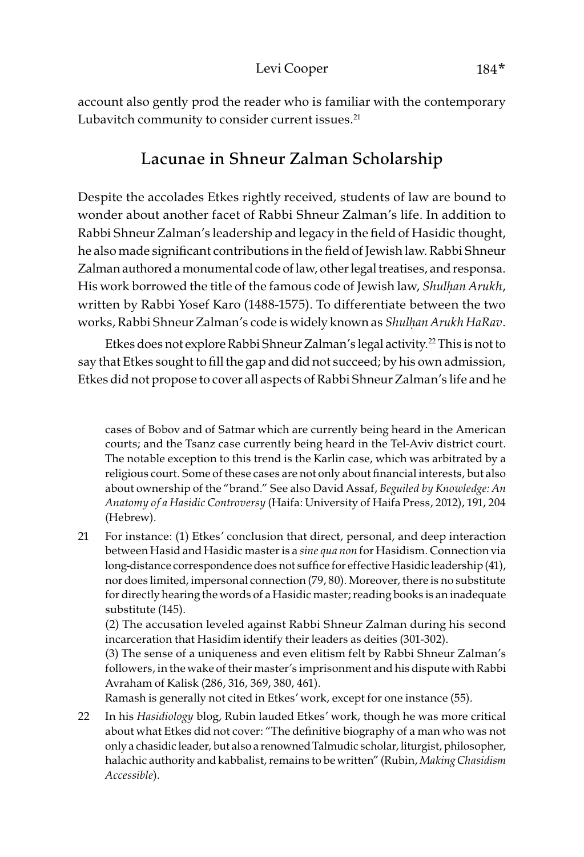account also gently prod the reader who is familiar with the contemporary Lubavitch community to consider current issues. $21$ 

## Lacunae in Shneur Zalman Scholarship

Despite the accolades Etkes rightly received, students of law are bound to wonder about another facet of Rabbi Shneur Zalman's life. In addition to Rabbi Shneur Zalman's leadership and legacy in the field of Hasidic thought, he also made significant contributions in the field of Jewish law. Rabbi Shneur Zalman authored a monumental code of law, other legal treatises, and responsa. His work borrowed the title of the famous code of Jewish law, Shul*ḥ*an Arukh, written by Rabbi Yosef Karo (1488-1575). To differentiate between the two works, Rabbi Shneur Zalman's code is widely known as Shul*ḥ*an Arukh HaRav.

Etkes does not explore Rabbi Shneur Zalman's legal activity.<sup>22</sup> This is not to say that Etkes sought to fill the gap and did not succeed; by his own admission, Etkes did not propose to cover all aspects of Rabbi Shneur Zalman's life and he

cases of Bobov and of Satmar which are currently being heard in the American courts; and the Tsanz case currently being heard in the Tel-Aviv district court. The notable exception to this trend is the Karlin case, which was arbitrated by a religious court. Some of these cases are not only about financial interests, but also about ownership of the "brand." See also David Assaf, Beguiled by Knowledge: An Anatomy of a Hasidic Controversy (Haifa: University of Haifa Press, 2012), 191, 204 (Hebrew).

21 For instance: (1) Etkes' conclusion that direct, personal, and deep interaction between Hasid and Hasidic master is a sine qua non for Hasidism. Connection via long-distance correspondence does not suffice for effective Hasidic leadership (41), nor does limited, impersonal connection (79, 80). Moreover, there is no substitute for directly hearing the words of a Hasidic master; reading books is an inadequate substitute (145).

(2) The accusation leveled against Rabbi Shneur Zalman during his second incarceration that Hasidim identify their leaders as deities (301-302).

(3) The sense of a uniqueness and even elitism felt by Rabbi Shneur Zalman's followers, in the wake of their master's imprisonment and his dispute with Rabbi Avraham of Kalisk (286, 316, 369, 380, 461).

Ramash is generally not cited in Etkes' work, except for one instance (55).

22 In his Hasidiology blog, Rubin lauded Etkes' work, though he was more critical about what Etkes did not cover: "The definitive biography of a man who was not only a chasidic leader, but also a renowned Talmudic scholar, liturgist, philosopher, halachic authority and kabbalist, remains to be written" (Rubin, Making Chasidism Accessible).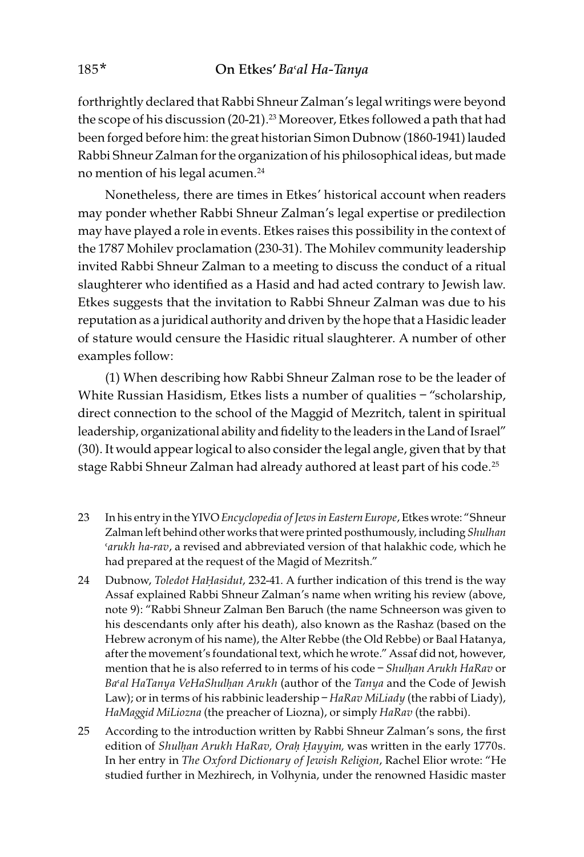forthrightly declared that Rabbi Shneur Zalman's legal writings were beyond the scope of his discussion (20-21).<sup>23</sup> Moreover, Etkes followed a path that had been forged before him: the great historian Simon Dubnow (1860-1941) lauded Rabbi Shneur Zalman for the organization of his philosophical ideas, but made no mention of his legal acumen.<sup>24</sup>

Nonetheless, there are times in Etkes' historical account when readers may ponder whether Rabbi Shneur Zalman's legal expertise or predilection may have played a role in events. Etkes raises this possibility in the context of the 1787 Mohilev proclamation (230-31). The Mohilev community leadership invited Rabbi Shneur Zalman to a meeting to discuss the conduct of a ritual slaughterer who identified as a Hasid and had acted contrary to Jewish law. Etkes suggests that the invitation to Rabbi Shneur Zalman was due to his reputation as a juridical authority and driven by the hope that a Hasidic leader of stature would censure the Hasidic ritual slaughterer. A number of other examples follow:

(1) When describing how Rabbi Shneur Zalman rose to be the leader of White Russian Hasidism, Etkes lists a number of qualities - "scholarship, direct connection to the school of the Maggid of Mezritch, talent in spiritual leadership, organizational ability and fidelity to the leaders in the Land of Israel" (30). It would appear logical to also consider the legal angle, given that by that stage Rabbi Shneur Zalman had already authored at least part of his code.<sup>25</sup>

- 23 In his entry in the YIVO Encyclopedia of Jews in Eastern Europe, Etkes wrote: "Shneur Zalman left behind other works that were printed posthumously, including Shulhan 'arukh ha-rav, a revised and abbreviated version of that halakhic code, which he had prepared at the request of the Magid of Mezritsh."
- 24 Dubnow, Toledot Ha*Ḥ*asidut, 232-41. A further indication of this trend is the way Assaf explained Rabbi Shneur Zalman's name when writing his review (above, note 9): "Rabbi Shneur Zalman Ben Baruch (the name Schneerson was given to his descendants only after his death), also known as the Rashaz (based on the Hebrew acronym of his name), the Alter Rebbe (the Old Rebbe) or Baal Hatanya, after the movement's foundational text, which he wrote." Assaf did not, however, mention that he is also referred to in terms of his code - Shulhan Arukh HaRav or Ba>al HaTanya VeHaShul*ḥ*an Arukh (author of the Tanya and the Code of Jewish Law); or in terms of his rabbinic leadership – HaRav MiLiady (the rabbi of Liady), HaMaggid MiLiozna (the preacher of Liozna), or simply HaRav (the rabbi).
- 25 According to the introduction written by Rabbi Shneur Zalman's sons, the first edition of Shul*ḥ*an Arukh HaRav, Ora*ḥ Ḥ*ayyim, was written in the early 1770s. In her entry in The Oxford Dictionary of Jewish Religion, Rachel Elior wrote: "He studied further in Mezhirech, in Volhynia, under the renowned Hasidic master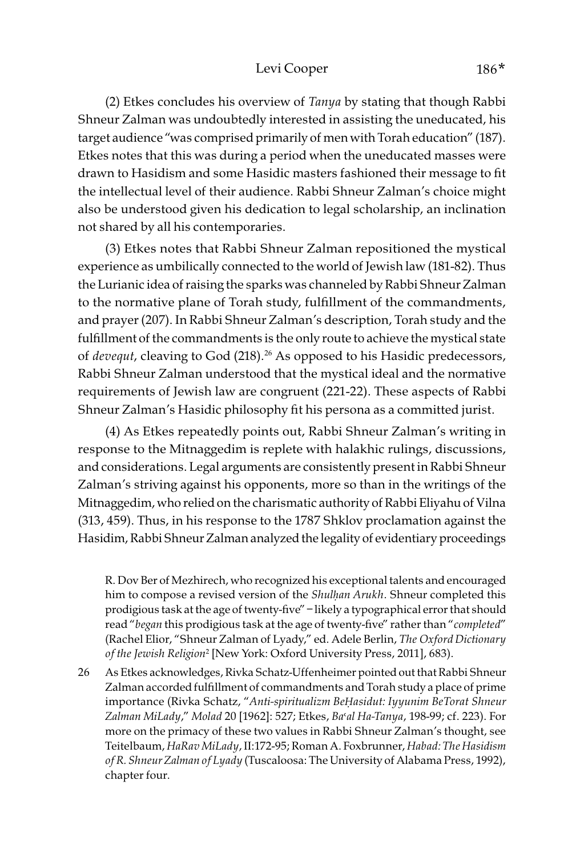### Levi Cooper 186\*

(2) Etkes concludes his overview of Tanya by stating that though Rabbi Shneur Zalman was undoubtedly interested in assisting the uneducated, his target audience "was comprised primarily of men with Torah education" (187). Etkes notes that this was during a period when the uneducated masses were drawn to Hasidism and some Hasidic masters fashioned their message to fit the intellectual level of their audience. Rabbi Shneur Zalman's choice might also be understood given his dedication to legal scholarship, an inclination not shared by all his contemporaries.

(3) Etkes notes that Rabbi Shneur Zalman repositioned the mystical experience as umbilically connected to the world of Jewish law (181-82). Thus the Lurianic idea of raising the sparks was channeled by Rabbi Shneur Zalman to the normative plane of Torah study, fulfillment of the commandments, and prayer (207). In Rabbi Shneur Zalman's description, Torah study and the fulfillment of the commandments is the only route to achieve the mystical state of *devequt*, cleaving to God (218).<sup>26</sup> As opposed to his Hasidic predecessors, Rabbi Shneur Zalman understood that the mystical ideal and the normative requirements of Jewish law are congruent (221-22). These aspects of Rabbi Shneur Zalman's Hasidic philosophy fit his persona as a committed jurist.

(4) As Etkes repeatedly points out, Rabbi Shneur Zalman's writing in response to the Mitnaggedim is replete with halakhic rulings, discussions, and considerations. Legal arguments are consistently present in Rabbi Shneur Zalman's striving against his opponents, more so than in the writings of the Mitnaggedim, who relied on the charismatic authority of Rabbi Eliyahu of Vilna (313, 459). Thus, in his response to the 1787 Shklov proclamation against the Hasidim, Rabbi Shneur Zalman analyzed the legality of evidentiary proceedings

R. Dov Ber of Mezhirech, who recognized his exceptional talents and encouraged him to compose a revised version of the Shul*ḥ*an Arukh. Shneur completed this prodigious task at the age of twenty-five" – likely a typographical error that should read "began this prodigious task at the age of twenty-five" rather than "completed" (Rachel Elior, "Shneur Zalman of Lyady," ed. Adele Berlin, The Oxford Dictionary of the Jewish Religion<sup>2</sup> [New York: Oxford University Press, 2011], 683).

26 As Etkes acknowledges, Rivka Schatz-Uffenheimer pointed out that Rabbi Shneur Zalman accorded fulfillment of commandments and Torah study a place of prime importance (Rivka Schatz, "Anti-spiritualizm Be*Ḥ*asidut: Iyyunim BeTorat Shneur Zalman MiLady," Molad 20 [1962]: 527; Etkes, Ba'al Ha-Tanya, 198-99; cf. 223). For more on the primacy of these two values in Rabbi Shneur Zalman's thought, see Teitelbaum, HaRav MiLady, II:172-95; Roman A. Foxbrunner, Habad: The Hasidism of R. Shneur Zalman of Lyady (Tuscaloosa: The University of Alabama Press, 1992), chapter four.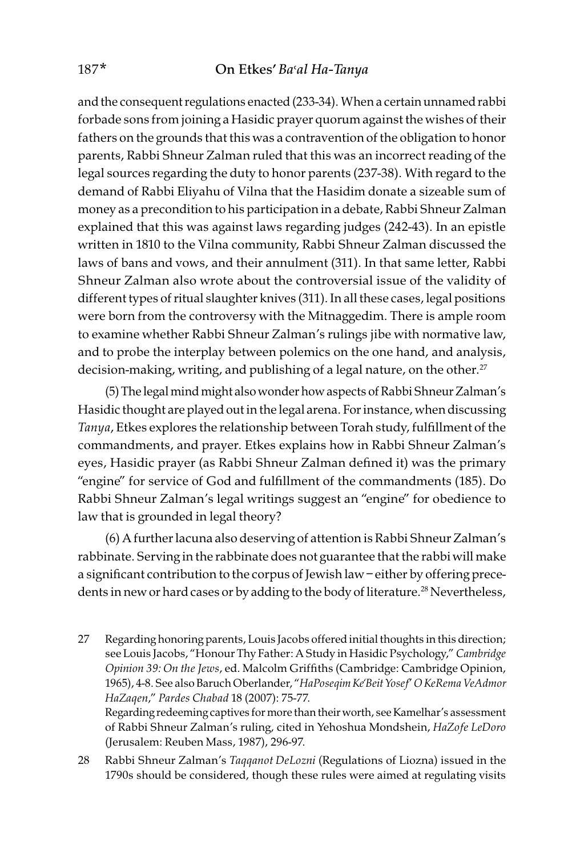and the consequent regulations enacted (233-34). When a certain unnamed rabbi forbade sons from joining a Hasidic prayer quorum against the wishes of their fathers on the grounds that this was a contravention of the obligation to honor parents, Rabbi Shneur Zalman ruled that this was an incorrect reading of the legal sources regarding the duty to honor parents (237-38). With regard to the demand of Rabbi Eliyahu of Vilna that the Hasidim donate a sizeable sum of money as a precondition to his participation in a debate, Rabbi Shneur Zalman explained that this was against laws regarding judges (242-43). In an epistle written in 1810 to the Vilna community, Rabbi Shneur Zalman discussed the laws of bans and vows, and their annulment (311). In that same letter, Rabbi Shneur Zalman also wrote about the controversial issue of the validity of different types of ritual slaughter knives (311). In all these cases, legal positions were born from the controversy with the Mitnaggedim. There is ample room to examine whether Rabbi Shneur Zalman's rulings jibe with normative law, and to probe the interplay between polemics on the one hand, and analysis, decision-making, writing, and publishing of a legal nature, on the other.<sup>27</sup>

(5) The legal mind might also wonder how aspects of Rabbi Shneur Zalman's Hasidic thought are played out in the legal arena. For instance, when discussing Tanya, Etkes explores the relationship between Torah study, fulfillment of the commandments, and prayer. Etkes explains how in Rabbi Shneur Zalman's eyes, Hasidic prayer (as Rabbi Shneur Zalman defined it) was the primary "engine" for service of God and fulfillment of the commandments (185). Do Rabbi Shneur Zalman's legal writings suggest an "engine" for obedience to law that is grounded in legal theory?

(6) A further lacuna also deserving of attention is Rabbi Shneur Zalman's rabbinate. Serving in the rabbinate does not guarantee that the rabbi will make a significant contribution to the corpus of Jewish law – either by offering precedents in new or hard cases or by adding to the body of literature.<sup>28</sup> Nevertheless,

- 27 Regarding honoring parents, Louis Jacobs offered initial thoughts in this direction; see Louis Jacobs, "Honour Thy Father: A Study in Hasidic Psychology," Cambridge Opinion 39: On the Jews, ed. Malcolm Griffiths (Cambridge: Cambridge Opinion, 1965), 4-8. See also Baruch Oberlander, "HaPoseqim Ke'Beit Yosef' O KeRema VeAdmor HaZaqen," Pardes Chabad 18 (2007): 75-77. Regarding redeeming captives for more than their worth, see Kamelhar's assessment of Rabbi Shneur Zalman's ruling, cited in Yehoshua Mondshein, HaZofe LeDoro (Jerusalem: Reuben Mass, 1987), 296-97.
- 28 Rabbi Shneur Zalman's Taqqanot DeLozni (Regulations of Liozna) issued in the 1790s should be considered, though these rules were aimed at regulating visits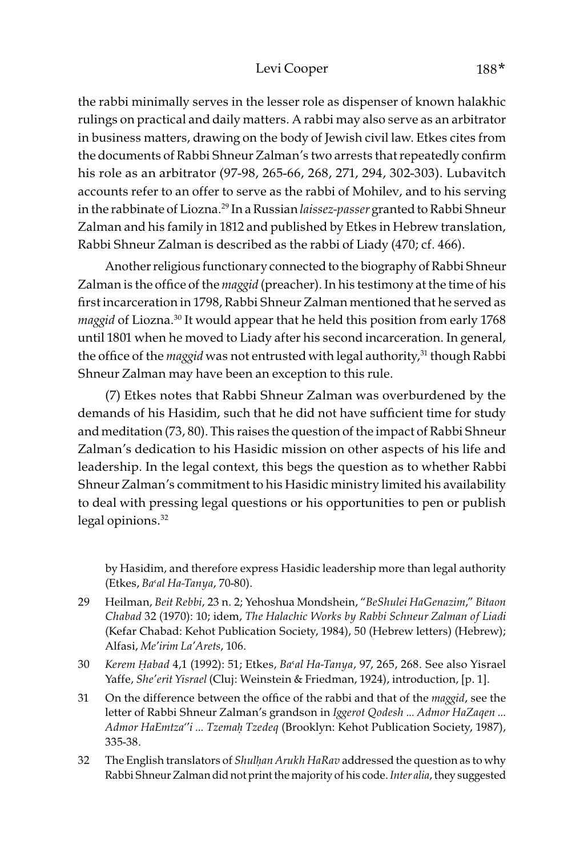#### Levi Cooper 188<sup>\*</sup>

the rabbi minimally serves in the lesser role as dispenser of known halakhic rulings on practical and daily matters. A rabbi may also serve as an arbitrator in business matters, drawing on the body of Jewish civil law. Etkes cites from the documents of Rabbi Shneur Zalman's two arrests that repeatedly confirm his role as an arbitrator (97-98, 265-66, 268, 271, 294, 302-303). Lubavitch accounts refer to an offer to serve as the rabbi of Mohilev, and to his serving in the rabbinate of Liozna.<sup>29</sup> In a Russian laissez-passer granted to Rabbi Shneur Zalman and his family in 1812 and published by Etkes in Hebrew translation, Rabbi Shneur Zalman is described as the rabbi of Liady (470; cf. 466).

Another religious functionary connected to the biography of Rabbi Shneur Zalman is the office of the *maggid* (preacher). In his testimony at the time of his first incarceration in 1798, Rabbi Shneur Zalman mentioned that he served as maggid of Liozna.<sup>30</sup> It would appear that he held this position from early 1768 until 1801 when he moved to Liady after his second incarceration. In general, the office of the *maggid* was not entrusted with legal authority,<sup>31</sup> though Rabbi Shneur Zalman may have been an exception to this rule.

(7) Etkes notes that Rabbi Shneur Zalman was overburdened by the demands of his Hasidim, such that he did not have sufficient time for study and meditation (73, 80). This raises the question of the impact of Rabbi Shneur Zalman's dedication to his Hasidic mission on other aspects of his life and leadership. In the legal context, this begs the question as to whether Rabbi Shneur Zalman's commitment to his Hasidic ministry limited his availability to deal with pressing legal questions or his opportunities to pen or publish legal opinions.<sup>32</sup>

by Hasidim, and therefore express Hasidic leadership more than legal authority (Etkes, Ba'al Ha-Tanya, 70-80).

- 29 Heilman, Beit Rebbi, 23 n. 2; Yehoshua Mondshein, "BeShulei HaGenazim," Bitaon Chabad 32 (1970): 10; idem, The Halachic Works by Rabbi Schneur Zalman of Liadi (Kefar Chabad: Kehot Publication Society, 1984), 50 (Hebrew letters) (Hebrew); Alfasi, Me'irim La'Arets, 106.
- 30 Kerem *Ḥ*abad 4,1 (1992): 51; Etkes, Ba>al Ha-Tanya, 97, 265, 268. See also Yisrael Yaffe, She'erit Yisrael (Cluj: Weinstein & Friedman, 1924), introduction, [p. 1].
- 31 On the difference between the office of the rabbi and that of the *maggid*, see the letter of Rabbi Shneur Zalman's grandson in Iggerot Qodesh … Admor HaZaqen ... Admor HaEmtza''i … Tzema*ḥ* Tzedeq (Brooklyn: Kehot Publication Society, 1987), 335-38.
- 32 The English translators of *Shulhan Arukh HaRav* addressed the question as to why Rabbi Shneur Zalman did not print the majority of his code. Inter alia, they suggested